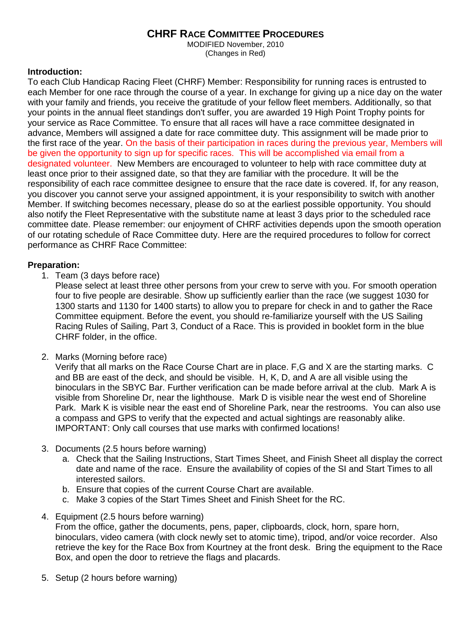# **CHRF RACE COMMITTEE PROCEDURES**

MODIFIED November, 2010 (Changes in Red)

## **Introduction:**

To each Club Handicap Racing Fleet (CHRF) Member: Responsibility for running races is entrusted to each Member for one race through the course of a year. In exchange for giving up a nice day on the water with your family and friends, you receive the gratitude of your fellow fleet members. Additionally, so that your points in the annual fleet standings don't suffer, you are awarded 19 High Point Trophy points for your service as Race Committee. To ensure that all races will have a race committee designated in advance, Members will assigned a date for race committee duty. This assignment will be made prior to the first race of the year. On the basis of their participation in races during the previous year, Members will be given the opportunity to sign up for specific races. This will be accomplished via email from a designated volunteer. New Members are encouraged to volunteer to help with race committee duty at least once prior to their assigned date, so that they are familiar with the procedure. It will be the responsibility of each race committee designee to ensure that the race date is covered. If, for any reason, you discover you cannot serve your assigned appointment, it is your responsibility to switch with another Member. If switching becomes necessary, please do so at the earliest possible opportunity. You should also notify the Fleet Representative with the substitute name at least 3 days prior to the scheduled race committee date. Please remember: our enjoyment of CHRF activities depends upon the smooth operation of our rotating schedule of Race Committee duty. Here are the required procedures to follow for correct performance as CHRF Race Committee:

## **Preparation:**

1. Team (3 days before race)

Please select at least three other persons from your crew to serve with you. For smooth operation four to five people are desirable. Show up sufficiently earlier than the race (we suggest 1030 for 1300 starts and 1130 for 1400 starts) to allow you to prepare for check in and to gather the Race Committee equipment. Before the event, you should re-familiarize yourself with the US Sailing Racing Rules of Sailing, Part 3, Conduct of a Race. This is provided in booklet form in the blue CHRF folder, in the office.

2. Marks (Morning before race)

Verify that all marks on the Race Course Chart are in place. F,G and X are the starting marks. C and BB are east of the deck, and should be visible. H, K, D, and A are all visible using the binoculars in the SBYC Bar. Further verification can be made before arrival at the club. Mark A is visible from Shoreline Dr, near the lighthouse. Mark D is visible near the west end of Shoreline Park. Mark K is visible near the east end of Shoreline Park, near the restrooms. You can also use a compass and GPS to verify that the expected and actual sightings are reasonably alike. IMPORTANT: Only call courses that use marks with confirmed locations!

- 3. Documents (2.5 hours before warning)
	- a. Check that the Sailing Instructions, Start Times Sheet, and Finish Sheet all display the correct date and name of the race. Ensure the availability of copies of the SI and Start Times to all interested sailors.
	- b. Ensure that copies of the current Course Chart are available.
	- c. Make 3 copies of the Start Times Sheet and Finish Sheet for the RC.
- 4. Equipment (2.5 hours before warning)

From the office, gather the documents, pens, paper, clipboards, clock, horn, spare horn, binoculars, video camera (with clock newly set to atomic time), tripod, and/or voice recorder. Also retrieve the key for the Race Box from Kourtney at the front desk. Bring the equipment to the Race Box, and open the door to retrieve the flags and placards.

5. Setup (2 hours before warning)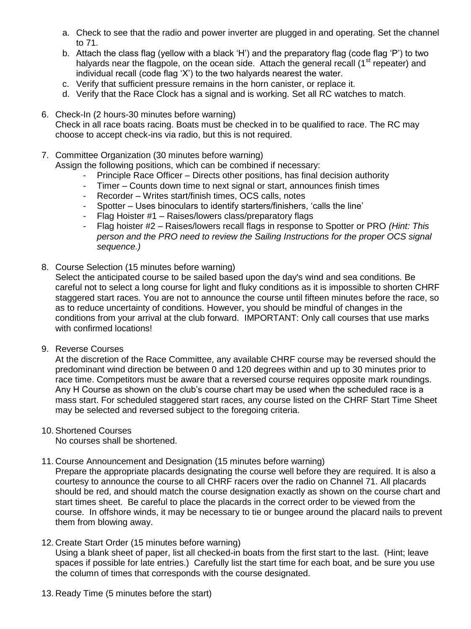- a. Check to see that the radio and power inverter are plugged in and operating. Set the channel to 71.
- b. Attach the class flag (yellow with a black 'H') and the preparatory flag (code flag 'P') to two halyards near the flagpole, on the ocean side. Attach the general recall (1<sup>st</sup> repeater) and individual recall (code flag "X") to the two halyards nearest the water.
- c. Verify that sufficient pressure remains in the horn canister, or replace it.
- d. Verify that the Race Clock has a signal and is working. Set all RC watches to match.
- 6. Check-In (2 hours-30 minutes before warning) Check in all race boats racing. Boats must be checked in to be qualified to race. The RC may choose to accept check-ins via radio, but this is not required.
- 7. Committee Organization (30 minutes before warning) Assign the following positions, which can be combined if necessary:
	- Principle Race Officer Directs other positions, has final decision authority
	- Timer Counts down time to next signal or start, announces finish times
	- Recorder Writes start/finish times, OCS calls, notes
	- Spotter Uses binoculars to identify starters/finishers, 'calls the line'
	- Flag Hoister #1 Raises/lowers class/preparatory flags
	- Flag hoister #2 Raises/lowers recall flags in response to Spotter or PRO *(Hint: This person and the PRO need to review the Sailing Instructions for the proper OCS signal sequence.)*
- 8. Course Selection (15 minutes before warning)

Select the anticipated course to be sailed based upon the day's wind and sea conditions. Be careful not to select a long course for light and fluky conditions as it is impossible to shorten CHRF staggered start races. You are not to announce the course until fifteen minutes before the race, so as to reduce uncertainty of conditions. However, you should be mindful of changes in the conditions from your arrival at the club forward. IMPORTANT: Only call courses that use marks with confirmed locations!

9. Reverse Courses

At the discretion of the Race Committee, any available CHRF course may be reversed should the predominant wind direction be between 0 and 120 degrees within and up to 30 minutes prior to race time. Competitors must be aware that a reversed course requires opposite mark roundings. Any H Course as shown on the club's course chart may be used when the scheduled race is a mass start. For scheduled staggered start races, any course listed on the CHRF Start Time Sheet may be selected and reversed subject to the foregoing criteria.

10. Shortened Courses

No courses shall be shortened.

11. Course Announcement and Designation (15 minutes before warning)

Prepare the appropriate placards designating the course well before they are required. It is also a courtesy to announce the course to all CHRF racers over the radio on Channel 71. All placards should be red, and should match the course designation exactly as shown on the course chart and start times sheet. Be careful to place the placards in the correct order to be viewed from the course. In offshore winds, it may be necessary to tie or bungee around the placard nails to prevent them from blowing away.

12. Create Start Order (15 minutes before warning)

Using a blank sheet of paper, list all checked-in boats from the first start to the last. (Hint; leave spaces if possible for late entries.) Carefully list the start time for each boat, and be sure you use the column of times that corresponds with the course designated.

13. Ready Time (5 minutes before the start)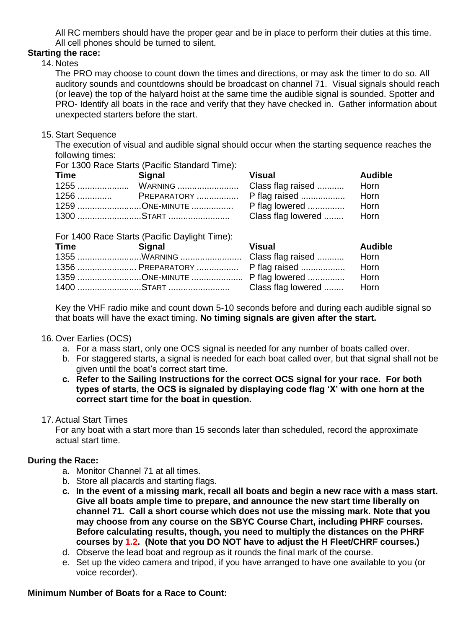All RC members should have the proper gear and be in place to perform their duties at this time. All cell phones should be turned to silent.

## **Starting the race:**

14. Notes

The PRO may choose to count down the times and directions, or may ask the timer to do so. All auditory sounds and countdowns should be broadcast on channel 71. Visual signals should reach (or leave) the top of the halyard hoist at the same time the audible signal is sounded. Spotter and PRO- Identify all boats in the race and verify that they have checked in. Gather information about unexpected starters before the start.

## 15. Start Sequence

The execution of visual and audible signal should occur when the starting sequence reaches the following times:

For 1300 Race Starts (Pacific Standard Time):

| <b>Time</b> | <b>Signal</b>   | <b>Visual</b>            | <b>Audible</b> |
|-------------|-----------------|--------------------------|----------------|
|             |                 |                          | Horn           |
|             |                 |                          | Horn           |
|             | 1259 ONE-MINUTE |                          |                |
|             | 1300 START      | Class flag lowered  Horn |                |
|             |                 |                          |                |

For 1400 Race Starts (Pacific Daylight Time):

| <b>Time</b> | Signal | Visual                                 | <b>Audible</b> |
|-------------|--------|----------------------------------------|----------------|
|             |        |                                        |                |
|             |        | 1356  PREPARATORY  P flag raised  Horn |                |
|             |        | 1359 ONE-MINUTE  P flag lowered  Horn  |                |
|             |        |                                        |                |

Key the VHF radio mike and count down 5-10 seconds before and during each audible signal so that boats will have the exact timing. **No timing signals are given after the start.**

## 16. Over Earlies (OCS)

- a. For a mass start, only one OCS signal is needed for any number of boats called over.
- b. For staggered starts, a signal is needed for each boat called over, but that signal shall not be given until the boat"s correct start time.
- **c. Refer to the Sailing Instructions for the correct OCS signal for your race. For both types of starts, the OCS is signaled by displaying code flag 'X' with one horn at the correct start time for the boat in question.**

## 17. Actual Start Times

For any boat with a start more than 15 seconds later than scheduled, record the approximate actual start time.

## **During the Race:**

- a. Monitor Channel 71 at all times.
- b. Store all placards and starting flags.
- **c. In the event of a missing mark, recall all boats and begin a new race with a mass start. Give all boats ample time to prepare, and announce the new start time liberally on channel 71. Call a short course which does not use the missing mark. Note that you may choose from any course on the SBYC Course Chart, including PHRF courses. Before calculating results, though, you need to multiply the distances on the PHRF courses by 1.2. (Note that you DO NOT have to adjust the H Fleet/CHRF courses.)**
- d. Observe the lead boat and regroup as it rounds the final mark of the course.
- e. Set up the video camera and tripod, if you have arranged to have one available to you (or voice recorder).

## **Minimum Number of Boats for a Race to Count:**